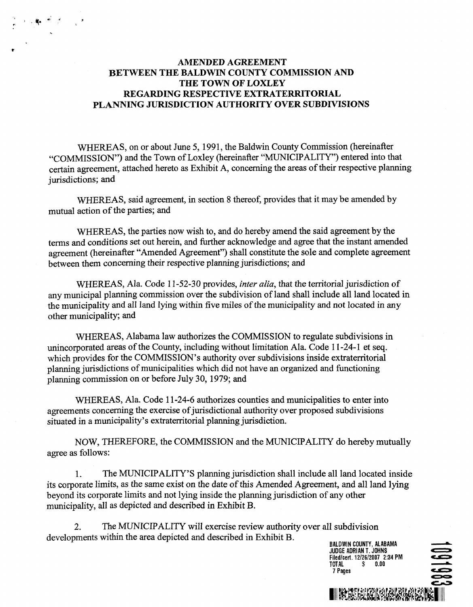## **AMENDED AGREEMENT BETWEEN THE BALDWIN COUNTY COMMISSION AND THE TOWN OF LOXLEY REGARDING RESPECTIVE EXTRATERRITORIAL PLANNING JURISDICTION AUTHORITY OVER SUBDIVISIONS**

WHEREAS, on or about June 5, 1991, the Baldwin County Commission (hereinafter "COMMISSION") and the Town of Loxley (hereinafter '"MUNICIPALITY") entered into that certain agreement, attached hereto as Exhibit **A,** concerning the areas of their respective planning jurisdictions; and

WHEREAS, said agreement, in section 8 thereof, provides that it may be amended by mutual action of the parties; and

WHEREAS, the parties now wish to, and do hereby amend the said agreement by the terms and conditions set out herein, and **further** acknowledge and agree that the instant amended agreement (hereinafter "Amended Agreement") shall constitute the sole and complete agreement between them concerning their respective planning jurisdictions; and

WHEREAS, Ala. Code 11-52-30 provides, *inter alia*, that the territorial jurisdiction of any municipal planning commission over the subdivision of land shall include all land located in the municipality and all land lying within five miles of the municipality and not located in any other municipality; and

WHEREAS, Alabama law authorizes the COMMISSION to regulate subdivisions in unincorporated areas of the County, including without limitation Ala. Code 11-24-1 et seq. which provides for the COMMISSION'S authority over subdivisions inside extraterritorial planning jurisdictions of municipalities which did not have an organized and functioning planning commission on or before July **30,** 1979; and

WHEREAS, Ala. Code 11-24-6 authorizes counties and municipalities to enter into agreements concerning the exercise of jurisdictional authority over proposed subdivisions situated in a municipality's extraterritorial planning jurisdiction.

NOW, THEREFORE, the COMMISSION and the MUNICIPALITY do hereby mutually agree as follows:

1. The MUNICIPALITY'S planning jurisdiction shall include all land located inside its corporate limits, as the same exist on the date of this Amended Agreement, and all land lying beyond its corporate limits and not lying inside the planning jurisdiction of any other municipality, all as depicted and described in Exhibit B.

2. The MUNICIPALITY will exercise review authority over all subdivision developments within the area depicted and described in Exhibit B.

**BALDWIN COUNTY, ALABAMA<br>BALDWIN COUNTY, ALABAMA<br>JUDGE ADRIAN T. JOHNS Judition<br>
BALDWIN COUNTY, ALABAMA<br>JUDGE ADRIAN T. JOHNS<br>Filedlcert. 12126/2007 2:34 PM TOTAL BALDWIN COUNTY, ALABAMA**<br>JUDGE ADRIAN T. JOHNS<br>Filed/cert. 12/26/2007 2:34 PM<br>TOTAL \$ 0.00<br>7 Pages **SUBDIVISION<br>
ALDWIN COUNTY, ALABAMA<br>
JUGE ADRIAN T. JOHNS<br>
IIEd/cert. 12/26/2007 2:34 PM<br>
T Pages<br>
<b>T** Pages<br> **LUMERE CONTRACT CONTRACT CONTRACT CONTRACT CONTRACT CONTRACT CONTRACT CONTRACT CONTRACT CONTRACT CONTRACT CONT**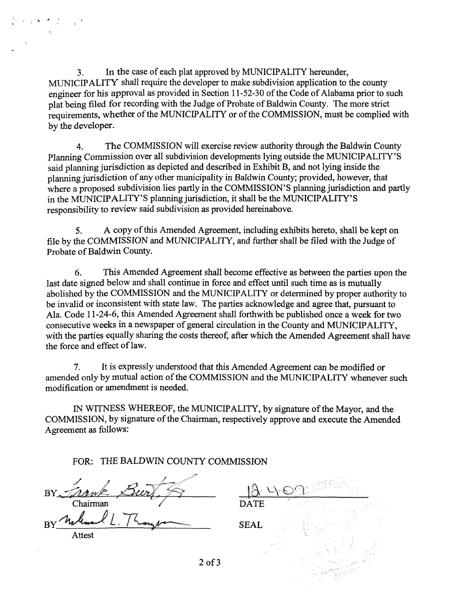3. In the case of each plat approved by MUNICIPALITY hereunder, MUNICIPALITY shall require the developer to make subdivision application to the county engineer for his approval as provided in Section 11-52-30 of the Code of Alabama prior to such plat being filed for recording with the Judge of Probate of Baldwin County. The more strict requirements, whether of the MUNICIPALITY or of the COMMISSION, must be complied with by the developer.

् के <sup>उस</sup>्ती हो। हो

4. The COMMISSION will exercise review authority through the Baldwin County Planning Commission over all subdivision developments lying outside the MUNICIPALITY'S said planning jurisdiction as depicted and described in Exhibit B, and not lying inside the planning jurisdiction of any other municipality in Baldwin County; provided, however, that where a proposed subdivision lies partly in the COMMISSION'S planning jurisdiction and partly in the MUNICIPALITY'S planning jurisdiction, it shall be the MUNICIPALITY'S responsibility to review said subdivision as provided hereinabove.

**5.** A copy of this Amended Agreement, including exhibits hereto, shall be kept on file by the COMMISSION and MUNICIPALITY, and further shall be filed with the Judge of Probate of Baldwin County.

*6.* This Amended Agreement shall become effective as between the parties upon the last date signed below and shall continue in force and effect until such time as is mutually abolished by the COMMISSION and the MUNICIPALITY or determined by proper authority to be invalid or inconsistent with state law. The parties acknowledge and agree that, pursuant to Ala. Code 11-24-6, this Amended Agreement shall forthwith be published once a week for two consecutive weeks in a newspaper of general circulation in the County and MUNICIPALITY, with the parties equally sharing the costs thereof, after which the Amended Agreement shall have the force and effect of law.

**7.** It is expressly understood that this Amended Agreement can be modified or amended only by mutual action of the COMMISSION and the MUNICIPALITY whenever such modification or amendment is needed.

IN WITNESS WHEREOF, the MUNICIPALITY, by signature of the Mayor, and the COMMISSION, by signature of the Chairman, respectively approve and execute the Amended Agreement as follows:

FOR: THE BALDWIN COUNTY COMMISSION

| BY Trank       |                                          |
|----------------|------------------------------------------|
| Chairman       | <b>DATE</b>                              |
| $\overline{B}$ | $\sim 100$<br><b>SEAL</b><br><b>ABLE</b> |
| Attest         |                                          |
|                |                                          |

2of3

- 194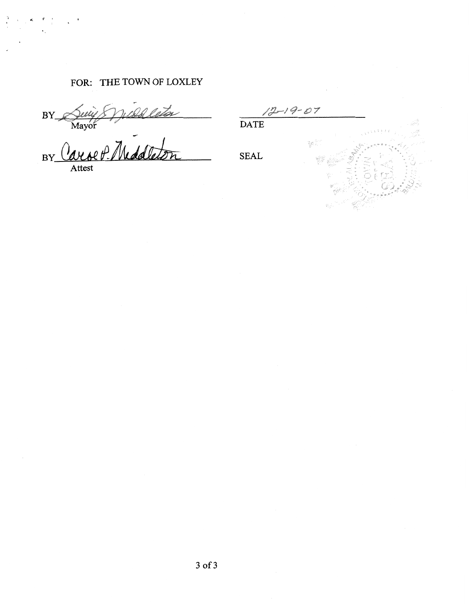# FOR: THE TOWN OF LOXLEY

3Y

BY Carolt- Weddleith SEAL Attest

 $12 - 19 - 07$ DATE 많.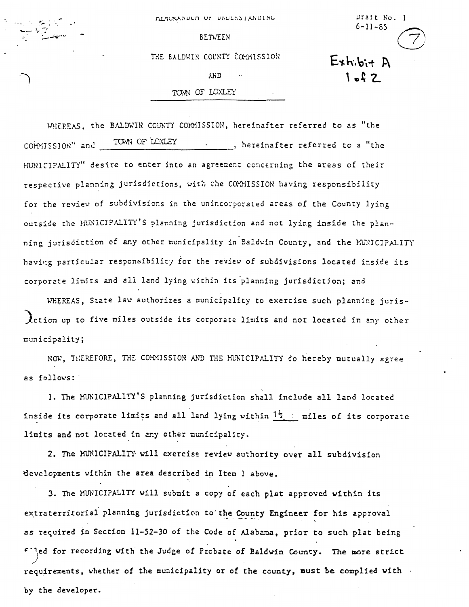MERCKANDON OF ONDERSTANDING

Drait No. 1

 $6 - 11 - 85$ 

 $Exh:bi+A$ 

 $1 - 2$ 

BETWEEN

THE BALDWIN COUNTY COMMISSION

**AND** 

### TOWN OF LOXLEY

WHEREAS, the BALDWIN COUNTY COMMISSION, hereinafter referred to as "the COPYISSION" and TOWN OF LOXLEY ..., hereinafter referred to a "the HUNICIPALITY" desire to enter into an agreement concerning the areas of their respective planning jurisdictions, with the COMMISSION having responsibility for the review of subdivisions in the unincorporated areas of the County lying outside the *HUNICIPALITI'S* planning jurisdiction and not lying inside the planning jurisdiction of any other municipality in Baldwin County, and the MUNICIPALITY having particular responsibility for the review of subdivisions located inside its corporzte limits and all land lying vithin its'planning jurisdictjon; and

**~~EZXS,** Stzte lav authorizes a nunicipality to exercise such planning juris-Action up to five miles outside its corporate limits and not located in any other ~unicipzlity ;

**KO'd,** Tt:EREFORE, THE CO.W!SSIOX **LXI TXE** !K?;lCIPALIn' do hereby mutually zgree **2s** f0l1ovs:

1. The MUNICIPALITY'S planning jurisdiction shall include all land located NOW, THEREFORE, THE COMMISSION AND THE MUNICIPALITY do hereby mutually agreent is follows:<br>1. The MUNICIPALITY'S planning jurisdiction shall include all land located<br>inside its corporate limits and all land lying within limits and not located in any other municipality.

2. The MUNICIPALITY will exercise review authority over all subdivision developments within the area described in Item 1 above.

3. The MUNICIPALITY will submit a copy of each plat approved within its extraterritorial planning jurisdiction to the County Engineer for his approval **as** required in Section 11-52-30 of the Code of **Alabarca,** prior to such plat being 6'1,ed for recording vith the Judge of Probate of Baldvin County. **me** more strict *.I*  requirements, vhether of the municipality or of **the** county, must be complied with by the developer.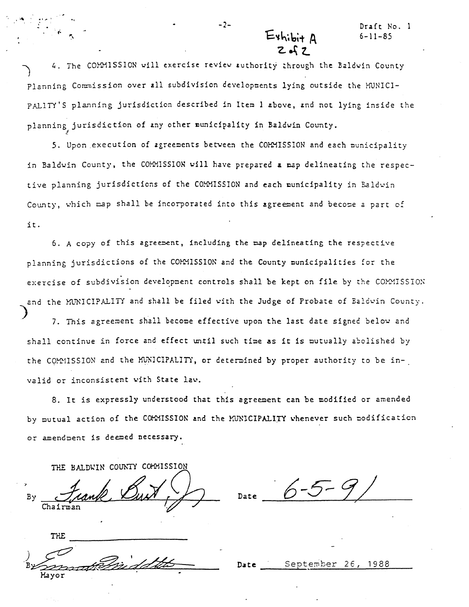-2- Draft No. 1 **6-1** 1-85

4. The COMMISSION will exercise review suthority through the Baldwin County Planning Conmission over all subdivision developnents lying outside the WNICI- PALITY'S planning jurisdiction described in Item 1 above, and not lying inside the planning jurisdiction of **any** other ounicipality in Baldvin County.

**5.** Upon execution of zgreenents between the CWISSIOH and each ounicipality in Baldwin County, the COMMISSION will have prepared **a** *nap* delineating the respective planning jurisdictions of the COMMISSION and each nunicipality in Baldwin County, which map shall be incorporated into this agreement and become a part of it.

6. A copy of this agreement, including the map delineating the respective planning jurisdictions of the COMMISSION and the County municipalities for the exercise of subdivision development controls shall be kept on file by the COMMISSION and the MUNICIPALITY and shall be filed with the Judge of Probate of Baldwin County. exercise of subdivision development controls shall be kept on file by the COMMISS:<br>and the MUNICIPALITY and shall be filed with the Judge of Probate of Baldwin Count<br>7. This agreement shall become effective upon the last d

shall continue in force and effect until such time **as** it is mutually a5clished by the COMMISSION and the MUNICIPALITY, or determined by proper authority to be invalid or inconsistent with State lav.

8. It is expressly understood that this agreement can be modified or amended by mutual action of the COMMISSION and the MUNICIPALITY whenever such modification or amendment is deemed necessary.

THE BALDWIN COUNTY COMMISSION

Bγ

Chairman

 $\epsilon$ 

Date  $6-5-9/$ 

**THE** 

**Date** Septenter *26,* 1988

 $E$ xhibi+  $\Delta$  $2 - 2$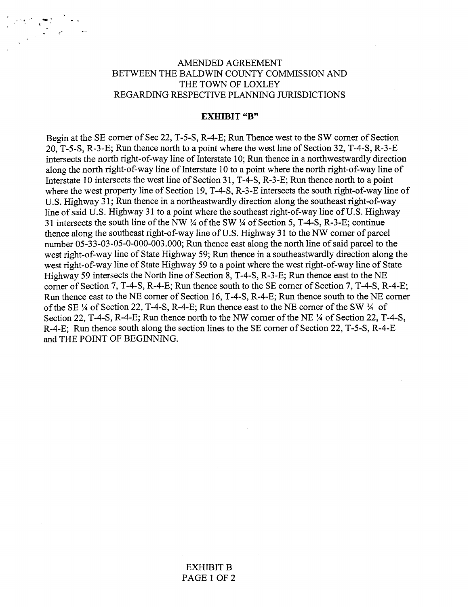## AMENDED AGREEMENT BETWEEN THE BALDWIN COUNTY COMMISSION AND THE TOWN OF LOXLEY REGARDING RESPECTIVE PLANNING JURISDICTIONS

#### **EXHIBIT "B"**

Begin at the SE comer of Sec 22, T-5-S, R-4-E; Run Thence west to the SW comer of Section 20, T-5-S, R-3-E; Run thence north to a point where the west line of Section 32, T-4-S, R-3-E intersects the north right-of-way line of Interstate 10; Run thence in a northwestwardly direction along the north right-of-way line of Interstate 10 to a point where the north right-of-way line of Interstate 10 intersects the west line of Section 31, T-4-S, R-3-E; Run thence north to a point where the west property line of Section 19, T-4-S, R-3-E intersects the south right-of-way line of U.S. Highway 31; Run thence in a northeastwardly direction along the southeast right-of-way line of said U.S. Highway 31 to a point where the southeast right-of-way line of U.S. Highway 31 intersects the south line of the NW  $\frac{1}{4}$  of the SW  $\frac{1}{4}$  of Section 5, T-4-S, R-3-E; continue thence along the southeast right-of-way line of U.S. Highway 31 to the NW corner of parcel number 05-33-03-05-0-000-003.000; Run thence east along the north line of said parcel to the west right-of-way line of State Highway 59; Run thence in a southeastwardly direction along the west right-of-way line of State Highway 59 to a point where the west right-of-way line of State Highway 59 intersects the North line of Section 8, T-4-S, R-3-E; Run thence east to the NE comer of Section 7, T-4-S, R-4-E; Run thence south to the SE comer of Section 7, T-4-S, R-4-E; Run thence east to the NE comer of Section 16, T-4-S, R-4-E; Run thence south to the NE comer of the SE  $\frac{1}{4}$  of Section 22, T-4-S, R-4-E; Run thence east to the NE corner of the SW  $\frac{1}{4}$  of Section 22, T-4-S, R-4-E; Run thence north to the NW corner of the NE  $\frac{1}{4}$  of Section 22, T-4-S, R-4-E; Run thence south along the section lines to the SE comer of Section 22, T-5-S, R-4-E and THE POINT OF BEGINNING.